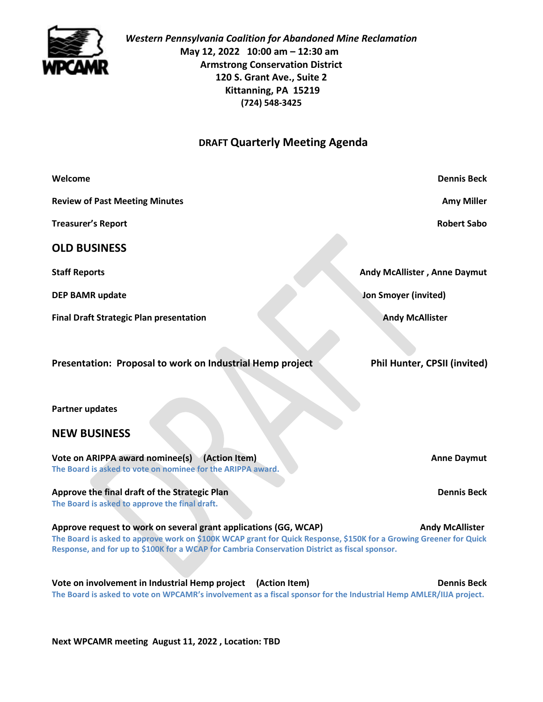

*Western Pennsylvania Coalition for Abandoned Mine Reclamation* **May 12, 2022 10:00 am – 12:30 am Armstrong Conservation District 120 S. Grant Ave., Suite 2 Kittanning, PA 15219 (724) 548-3425**

## **DRAFT Quarterly Meeting Agenda**

| Welcome                                                                                                                                                                                                                                                                                                            | <b>Dennis Beck</b>                  |
|--------------------------------------------------------------------------------------------------------------------------------------------------------------------------------------------------------------------------------------------------------------------------------------------------------------------|-------------------------------------|
| <b>Review of Past Meeting Minutes</b>                                                                                                                                                                                                                                                                              | <b>Amy Miller</b>                   |
| <b>Treasurer's Report</b>                                                                                                                                                                                                                                                                                          | <b>Robert Sabo</b>                  |
| <b>OLD BUSINESS</b>                                                                                                                                                                                                                                                                                                |                                     |
| <b>Staff Reports</b>                                                                                                                                                                                                                                                                                               | <b>Andy McAllister, Anne Daymut</b> |
| <b>DEP BAMR update</b>                                                                                                                                                                                                                                                                                             | Jon Smoyer (invited)                |
| <b>Final Draft Strategic Plan presentation</b>                                                                                                                                                                                                                                                                     | <b>Andy McAllister</b>              |
|                                                                                                                                                                                                                                                                                                                    |                                     |
| Presentation: Proposal to work on Industrial Hemp project                                                                                                                                                                                                                                                          | Phil Hunter, CPSII (invited)        |
|                                                                                                                                                                                                                                                                                                                    |                                     |
| <b>Partner updates</b>                                                                                                                                                                                                                                                                                             |                                     |
| <b>NEW BUSINESS</b>                                                                                                                                                                                                                                                                                                |                                     |
| Vote on ARIPPA award nominee(s)<br>(Action Item)<br>The Board is asked to vote on nominee for the ARIPPA award.                                                                                                                                                                                                    | <b>Anne Daymut</b>                  |
|                                                                                                                                                                                                                                                                                                                    |                                     |
| Approve the final draft of the Strategic Plan<br>The Board is asked to approve the final draft.                                                                                                                                                                                                                    | <b>Dennis Beck</b>                  |
| Approve request to work on several grant applications (GG, WCAP)<br><b>Andy McAllister</b><br>The Board is asked to approve work on \$100K WCAP grant for Quick Response, \$150K for a Growing Greener for Quick<br>Response, and for up to \$100K for a WCAP for Cambria Conservation District as fiscal sponsor. |                                     |
| Vote on involvement in Industrial Hemp project (Action Item)<br><b>Dennis Beck</b><br>The Board is asked to vote on WPCAMR's involvement as a fiscal sponsor for the Industrial Hemp AMLER/IIJA project.                                                                                                           |                                     |

**Next WPCAMR meeting August 11, 2022 , Location: TBD**